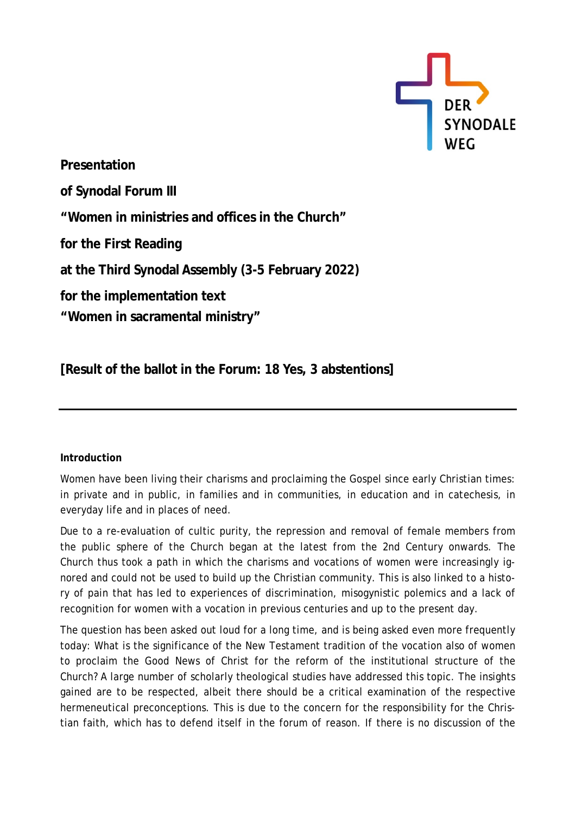

**Presentation of Synodal Forum III "Women in ministries and offices in the Church" for the First Reading at the Third Synodal Assembly (3-5 February 2022) for the implementation text "Women in sacramental ministry"**

**[Result of the ballot in the Forum: 18 Yes, 3 abstentions]**

## **Introduction**

Women have been living their charisms and proclaiming the Gospel since early Christian times: in private and in public, in families and in communities, in education and in catechesis, in everyday life and in places of need.

Due to a re-evaluation of cultic purity, the repression and removal of female members from the public sphere of the Church began at the latest from the 2nd Century onwards. The Church thus took a path in which the charisms and vocations of women were increasingly ignored and could not be used to build up the Christian community. This is also linked to a history of pain that has led to experiences of discrimination, misogynistic polemics and a lack of recognition for women with a vocation in previous centuries and up to the present day.

The question has been asked out loud for a long time, and is being asked even more frequently today: What is the significance of the New Testament tradition of the vocation also of women to proclaim the Good News of Christ for the reform of the institutional structure of the Church? A large number of scholarly theological studies have addressed this topic. The insights gained are to be respected, albeit there should be a critical examination of the respective hermeneutical preconceptions. This is due to the concern for the responsibility for the Christian faith, which has to defend itself in the forum of reason. If there is no discussion of the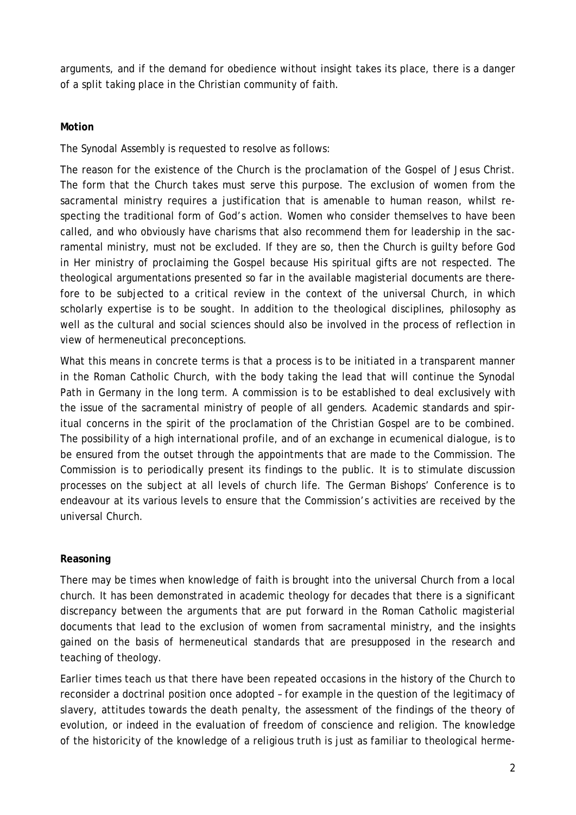arguments, and if the demand for obedience without insight takes its place, there is a danger of a split taking place in the Christian community of faith.

## **Motion**

The Synodal Assembly is requested to resolve as follows:

The reason for the existence of the Church is the proclamation of the Gospel of Jesus Christ. The form that the Church takes must serve this purpose. The exclusion of women from the sacramental ministry requires a justification that is amenable to human reason, whilst respecting the traditional form of God's action. Women who consider themselves to have been called, and who obviously have charisms that also recommend them for leadership in the sacramental ministry, must not be excluded. If they are so, then the Church is guilty before God in Her ministry of proclaiming the Gospel because His spiritual gifts are not respected. The theological argumentations presented so far in the available magisterial documents are therefore to be subjected to a critical review in the context of the universal Church, in which scholarly expertise is to be sought. In addition to the theological disciplines, philosophy as well as the cultural and social sciences should also be involved in the process of reflection in view of hermeneutical preconceptions.

What this means in concrete terms is that a process is to be initiated in a transparent manner in the Roman Catholic Church, with the body taking the lead that will continue the Synodal Path in Germany in the long term. A commission is to be established to deal exclusively with the issue of the sacramental ministry of people of all genders. Academic standards and spiritual concerns in the spirit of the proclamation of the Christian Gospel are to be combined. The possibility of a high international profile, and of an exchange in ecumenical dialogue, is to be ensured from the outset through the appointments that are made to the Commission. The Commission is to periodically present its findings to the public. It is to stimulate discussion processes on the subject at all levels of church life. The German Bishops' Conference is to endeavour at its various levels to ensure that the Commission's activities are received by the universal Church.

## **Reasoning**

There may be times when knowledge of faith is brought into the universal Church from a local church. It has been demonstrated in academic theology for decades that there is a significant discrepancy between the arguments that are put forward in the Roman Catholic magisterial documents that lead to the exclusion of women from sacramental ministry, and the insights gained on the basis of hermeneutical standards that are presupposed in the research and teaching of theology.

Earlier times teach us that there have been repeated occasions in the history of the Church to reconsider a doctrinal position once adopted – for example in the question of the legitimacy of slavery, attitudes towards the death penalty, the assessment of the findings of the theory of evolution, or indeed in the evaluation of freedom of conscience and religion. The knowledge of the historicity of the knowledge of a religious truth is just as familiar to theological herme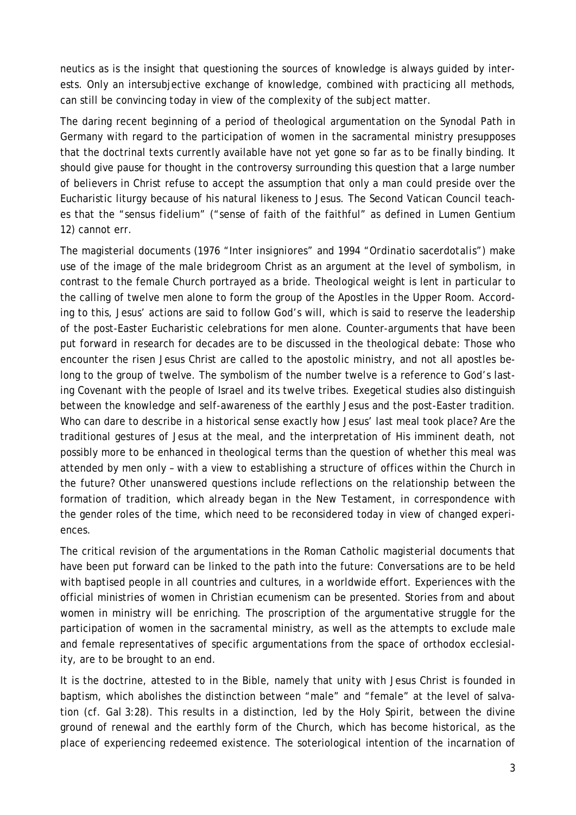neutics as is the insight that questioning the sources of knowledge is always guided by interests. Only an intersubjective exchange of knowledge, combined with practicing all methods, can still be convincing today in view of the complexity of the subject matter.

The daring recent beginning of a period of theological argumentation on the Synodal Path in Germany with regard to the participation of women in the sacramental ministry presupposes that the doctrinal texts currently available have not yet gone so far as to be finally binding. It should give pause for thought in the controversy surrounding this question that a large number of believers in Christ refuse to accept the assumption that only a man could preside over the Eucharistic liturgy because of his natural likeness to Jesus. The Second Vatican Council teaches that the "*sensus fidelium*" ("sense of faith of the faithful" as defined in Lumen Gentium 12) cannot err.

The magisterial documents (1976 "*Inter insigniores*" and 1994 "*Ordinatio sacerdotalis*") make use of the image of the male bridegroom Christ as an argument at the level of symbolism, in contrast to the female Church portrayed as a bride. Theological weight is lent in particular to the calling of twelve men alone to form the group of the Apostles in the Upper Room. According to this, Jesus' actions are said to follow God's will, which is said to reserve the leadership of the post-Easter Eucharistic celebrations for men alone. Counter-arguments that have been put forward in research for decades are to be discussed in the theological debate: Those who encounter the risen Jesus Christ are called to the apostolic ministry, and not all apostles belong to the group of twelve. The symbolism of the number twelve is a reference to God's lasting Covenant with the people of Israel and its twelve tribes. Exegetical studies also distinguish between the knowledge and self-awareness of the earthly Jesus and the post-Easter tradition. Who can dare to describe in a historical sense exactly how Jesus' last meal took place? Are the traditional gestures of Jesus at the meal, and the interpretation of His imminent death, not possibly more to be enhanced in theological terms than the question of whether this meal was attended by men only – with a view to establishing a structure of offices within the Church in the future? Other unanswered questions include reflections on the relationship between the formation of tradition, which already began in the New Testament, in correspondence with the gender roles of the time, which need to be reconsidered today in view of changed experiences.

The critical revision of the argumentations in the Roman Catholic magisterial documents that have been put forward can be linked to the path into the future: Conversations are to be held with baptised people in all countries and cultures, in a worldwide effort. Experiences with the official ministries of women in Christian ecumenism can be presented. Stories from and about women in ministry will be enriching. The proscription of the argumentative struggle for the participation of women in the sacramental ministry, as well as the attempts to exclude male and female representatives of specific argumentations from the space of orthodox ecclesiality, are to be brought to an end.

It is the doctrine, attested to in the Bible, namely that unity with Jesus Christ is founded in baptism, which abolishes the distinction between "male" and "female" at the level of salvation (cf. Gal 3:28). This results in a distinction, led by the Holy Spirit, between the divine ground of renewal and the earthly form of the Church, which has become historical, as the place of experiencing redeemed existence. The soteriological intention of the incarnation of